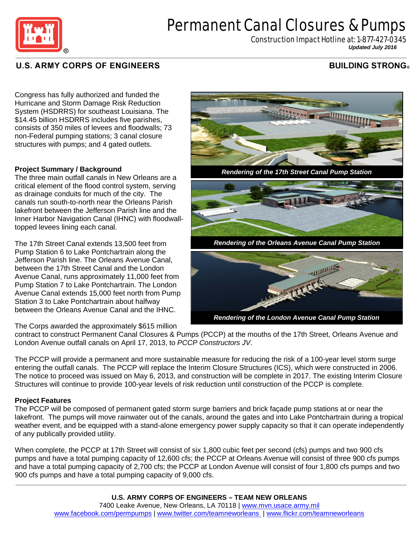

# Permanent Canal Closures & Pumps

Construction Impact Hotline at: 1-877-427-0345 *Updated July <sup>2016</sup>*

## **U.S. ARMY CORPS OF ENGINEERS**

## **BUILDING STRONG**

Congress has fully authorized and funded the Hurricane and Storm Damage Risk Reduction System (HSDRRS) for southeast Louisiana. The \$14.45 billion HSDRRS includes five parishes, consists of 350 miles of levees and floodwalls; 73 non-Federal pumping stations; 3 canal closure structures with pumps; and 4 gated outlets.

### **Project Summary / Background**

The three main outfall canals in New Orleans are a critical element of the flood control system, serving as drainage conduits for much of the city. The canals run south-to-north near the Orleans Parish lakefront between the Jefferson Parish line and the Inner Harbor Navigation Canal (IHNC) with floodwalltopped levees lining each canal.

The 17th Street Canal extends 13,500 feet from Pump Station 6 to Lake Pontchartrain along the Jefferson Parish line. The Orleans Avenue Canal, between the 17th Street Canal and the London Avenue Canal, runs approximately 11,000 feet from Pump Station 7 to Lake Pontchartrain. The London Avenue Canal extends 15,000 feet north from Pump Station 3 to Lake Pontchartrain about halfway between the Orleans Avenue Canal and the IHNC.

The Corps awarded the approximately \$615 million





contract to construct Permanent Canal Closures & Pumps (PCCP) at the mouths of the 17th Street, Orleans Avenue and London Avenue outfall canals on April 17, 2013, to *PCCP Constructors JV*.

The PCCP will provide a permanent and more sustainable measure for reducing the risk of a 100-year level storm surge entering the outfall canals. The PCCP will replace the Interim Closure Structures (ICS), which were constructed in 2006. The notice to proceed was issued on May 6, 2013, and construction will be complete in 2017. The existing Interim Closure Structures will continue to provide 100-year levels of risk reduction until construction of the PCCP is complete.

### **Project Features**

The PCCP will be composed of permanent gated storm surge barriers and brick façade pump stations at or near the lakefront. The pumps will move rainwater out of the canals, around the gates and into Lake Pontchartrain during a tropical weather event, and be equipped with a stand-alone emergency power supply capacity so that it can operate independently of any publically provided utility.

When complete, the PCCP at 17th Street will consist of six 1,800 cubic feet per second (cfs) pumps and two 900 cfs pumps and have a total pumping capacity of 12,600 cfs; the PCCP at Orleans Avenue will consist of three 900 cfs pumps and have a total pumping capacity of 2,700 cfs; the PCCP at London Avenue will consist of four 1,800 cfs pumps and two 900 cfs pumps and have a total pumping capacity of 9,000 cfs.